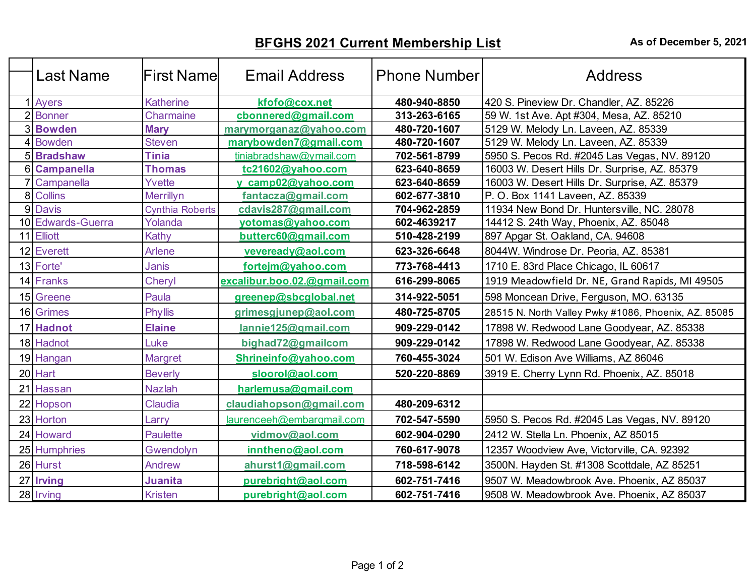## **BFGHS 2021 Current Membership List** As of December 5, 2021

|                | <b>Last Name</b>  | lFirst Namel           | <b>Email Address</b>        | <b>Phone Number</b> | Address                                              |
|----------------|-------------------|------------------------|-----------------------------|---------------------|------------------------------------------------------|
|                | Ayers             | <b>Katherine</b>       | kfofo@cox.net               | 480-940-8850        | 420 S. Pineview Dr. Chandler, AZ. 85226              |
|                | <b>Bonner</b>     | Charmaine              | cbonnered@gmail.com         | 313-263-6165        | 59 W. 1st Ave. Apt #304, Mesa, AZ. 85210             |
|                | <b>Bowden</b>     | <b>Mary</b>            | marymorganaz@yahoo.com      | 480-720-1607        | 5129 W. Melody Ln. Laveen, AZ. 85339                 |
|                | <b>Bowden</b>     | <b>Steven</b>          | marybowden7@gmail.com       | 480-720-1607        | 5129 W. Melody Ln. Laveen, AZ. 85339                 |
|                | <b>5</b> Bradshaw | <b>Tinia</b>           | tiniabradshaw@ymail.com     | 702-561-8799        | 5950 S. Pecos Rd. #2045 Las Vegas, NV. 89120         |
|                | 6 Campanella      | <b>Thomas</b>          | tc21602@yahoo.com           | 623-640-8659        | 16003 W. Desert Hills Dr. Surprise, AZ. 85379        |
|                | Campanella        | Yvette                 | y camp02@yahoo.com          | 623-640-8659        | 16003 W. Desert Hills Dr. Surprise, AZ. 85379        |
| 8 <sup>1</sup> | <b>Collins</b>    | Merrillyn              | fantacza@gmail.com          | 602-677-3810        | P. O. Box 1141 Laveen, AZ. 85339                     |
|                | 9 Davis           | <b>Cynthia Roberts</b> | cdavis287@gmail.com         | 704-962-2859        | 11934 New Bond Dr. Huntersville, NC. 28078           |
|                | 10 Edwards-Guerra | Yolanda                | yotomas@yahoo.com           | 602-4639217         | 14412 S. 24th Way, Phoenix, AZ. 85048                |
|                | 11 Elliott        | Kathy                  | butterc60@gmail.com         | 510-428-2199        | 897 Apgar St. Oakland, CA. 94608                     |
|                | 12 Everett        | Arlene                 | veveready@aol.com           | 623-326-6648        | 8044W. Windrose Dr. Peoria, AZ. 85381                |
|                | 13 Forte'         | Janis                  | fortejm@yahoo.com           | 773-768-4413        | 1710 E. 83rd Place Chicago, IL 60617                 |
|                | 14 Franks         | Cheryl                 | excalibur.boo.02.@gmail.com | 616-299-8065        | 1919 Meadowfield Dr. NE, Grand Rapids, MI 49505      |
|                | 15 Greene         | Paula                  | greenep@sbcglobal.net       | 314-922-5051        | 598 Moncean Drive, Ferguson, MO. 63135               |
|                | 16 Grimes         | <b>Phyllis</b>         | grimesgjunep@aol.com        | 480-725-8705        | 28515 N. North Valley Pwky #1086, Phoenix, AZ. 85085 |
|                | 17 Hadnot         | <b>Elaine</b>          | lannie125@gmail.com         | 909-229-0142        | 17898 W. Redwood Lane Goodyear, AZ. 85338            |
|                | 18 Hadnot         | Luke                   | bighad72@gmailcom           | 909-229-0142        | 17898 W. Redwood Lane Goodyear, AZ. 85338            |
|                | 19 Hangan         | Margret                | Shrineinfo@yahoo.com        | 760-455-3024        | 501 W. Edison Ave Williams, AZ 86046                 |
|                | 20 Hart           | <b>Beverly</b>         | sloorol@aol.com             | 520-220-8869        | 3919 E. Cherry Lynn Rd. Phoenix, AZ. 85018           |
| 21             | Hassan            | <b>Nazlah</b>          | harlemusa@gmail.com         |                     |                                                      |
| 22             | Hopson            | Claudia                | claudiahopson@gmail.com     | 480-209-6312        |                                                      |
|                | 23 Horton         | Larry                  | laurenceeh@embarqmail.com   | 702-547-5590        | 5950 S. Pecos Rd. #2045 Las Vegas, NV. 89120         |
|                | 24 Howard         | <b>Paulette</b>        | vidmov@aol.com              | 602-904-0290        | 2412 W. Stella Ln. Phoenix, AZ 85015                 |
|                | 25 Humphries      | Gwendolyn              | inntheno@aol.com            | 760-617-9078        | 12357 Woodview Ave, Victorville, CA. 92392           |
|                | 26 Hurst          | Andrew                 | ahurst1@gmail.com           | 718-598-6142        | 3500N. Hayden St. #1308 Scottdale, AZ 85251          |
| 27             | <b>Irving</b>     | Juanita                | purebright@aol.com          | 602-751-7416        | 9507 W. Meadowbrook Ave. Phoenix, AZ 85037           |
|                | 28 Irving         | Kristen                | purebright@aol.com          | 602-751-7416        | 9508 W. Meadowbrook Ave. Phoenix, AZ 85037           |